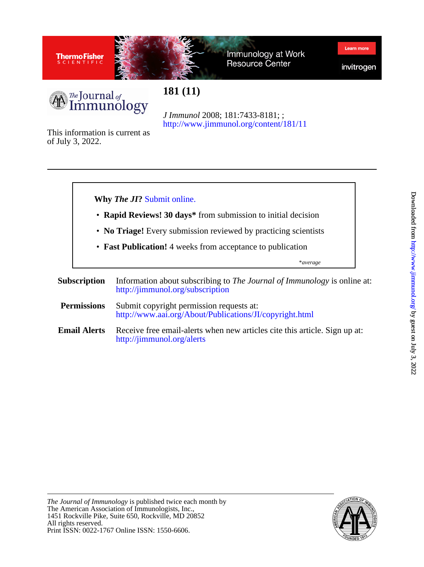



Immunology at Work **Resource Center** 

invitrogen

Learn mor



**181 (11)**

<http://www.jimmunol.org/content/181/11> *J Immunol* 2008; 181:7433-8181; ;

of July 3, 2022. This information is current as



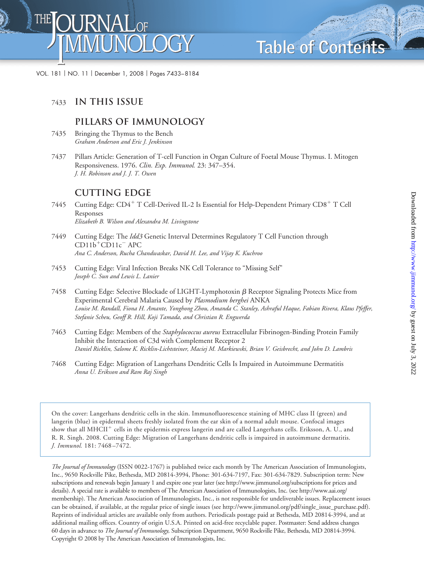**Table of Contents Table of Contents**

VOL. 181 NO. 11 December 1, 2008 Pages 7433–8184

# <sup>7433</sup> **In this Issue**

## **Pillars of Immunology**

- 7435 Bringing the Thymus to the Bench *Graham Anderson and Eric J. Jenkinson*
- 7437 Pillars Article: Generation of T-cell Function in Organ Culture of Foetal Mouse Thymus. I. Mitogen Responsiveness. 1976. *Clin. Exp. Immunol.* 23: 347–354. *J. H. Robinson and J. J. T. Owen*

# **Cutting Edge**

- 7445 Cutting Edge: CD4<sup>+</sup> T Cell-Derived IL-2 Is Essential for Help-Dependent Primary CD8<sup>+</sup> T Cell Responses *Elizabeth B. Wilson and Alexandra M. Livingstone*
- 7449 Cutting Edge: The *Idd3* Genetic Interval Determines Regulatory T Cell Function through  $CD11b^+CD11c^-$  APC *Ana C. Anderson, Rucha Chandwaskar, David H. Lee, and Vijay K. Kuchroo*
- 7453 Cutting Edge: Viral Infection Breaks NK Cell Tolerance to "Missing Self" *Joseph C. Sun and Lewis L. Lanier*
- 7458 Cutting Edge: Selective Blockade of LIGHT-Lymphotoxin  $\beta$  Receptor Signaling Protects Mice from Experimental Cerebral Malaria Caused by *Plasmodium berghei* ANKA *Louise M. Randall, Fiona H. Amante, Yonghong Zhou, Amanda C. Stanley, Ashraful Haque, Fabian Rivera, Klaus Pfeffer, Stefanie Scheu, Geoff R. Hill, Koji Tamada, and Christian R. Engwerda*
- 7463 Cutting Edge: Members of the *Staphylococcus aureus* Extracellular Fibrinogen-Binding Protein Family Inhibit the Interaction of C3d with Complement Receptor 2 *Daniel Ricklin, Salome K. Ricklin-Lichtsteiner, Maciej M. Markiewski, Brian V. Geisbrecht, and John D. Lambris*
- 7468 Cutting Edge: Migration of Langerhans Dendritic Cells Is Impaired in Autoimmune Dermatitis *Anna U. Eriksson and Ram Raj Singh*

On the cover: Langerhans dendritic cells in the skin. Immunofluorescence staining of MHC class II (green) and langerin (blue) in epidermal sheets freshly isolated from the ear skin of a normal adult mouse. Confocal images show that all MHCII<sup>+</sup> cells in the epidermis express langerin and are called Langerhans cells. Eriksson, A. U., and R. R. Singh. 2008. Cutting Edge: Migration of Langerhans dendritic cells is impaired in autoimmune dermatitis. *J. Immunol.* 181: 7468 –7472.

*The Journal of Immunology* (ISSN 0022-1767) is published twice each month by The American Association of Immunologists, Inc., 9650 Rockville Pike, Bethesda, MD 20814-3994, Phone: 301-634-7197, Fax: 301-634-7829. Subscription term: New subscriptions and renewals begin January 1 and expire one year later (see http://www.jimmunol.org/subscriptions for prices and details). A special rate is available to members of The American Association of Immunologists, Inc. (see http://www.aai.org/ membership). The American Association of Immunologists, Inc., is not responsible for undeliverable issues. Replacement issues can be obtained, if available, at the regular price of single issues (see http://www.jimmunol.org/pdf/single\_issue\_purchase.pdf). Reprints of individual articles are available only from authors. Periodicals postage paid at Bethesda, MD 20814-3994, and at additional mailing offices. Country of origin U.S.A. Printed on acid-free recyclable paper. Postmaster: Send address changes 60 days in advance to *The Journal of Immunology,* Subscription Department, 9650 Rockville Pike, Bethesda, MD 20814-3994. Copyright © 2008 by The American Association of Immunologists, Inc.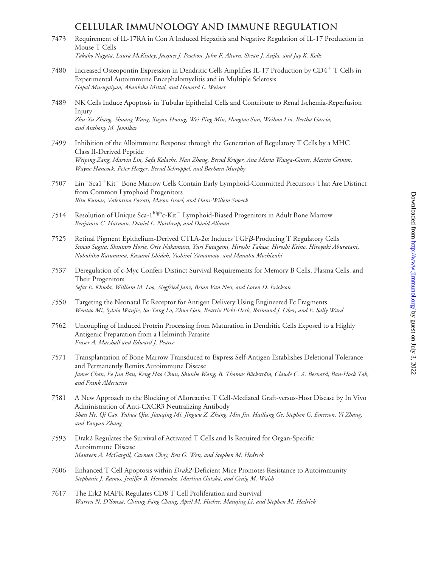## **Cellular Immunology and Immune Regulation**

- 7473 Requirement of IL-17RA in Con A Induced Hepatitis and Negative Regulation of IL-17 Production in Mouse T Cells *Takako Nagata, Laura McKinley, Jacques J. Peschon, John F. Alcorn, Shean J. Aujla, and Jay K. Kolls*
- 7480 Increased Osteopontin Expression in Dendritic Cells Amplifies IL-17 Production by CD4<sup>+</sup> T Cells in Experimental Autoimmune Encephalomyelitis and in Multiple Sclerosis *Gopal Murugaiyan, Akanksha Mittal, and Howard L. Weiner*
- 7489 NK Cells Induce Apoptosis in Tubular Epithelial Cells and Contribute to Renal Ischemia-Reperfusion Injury *Zhu-Xu Zhang, Shuang Wang, Xuyan Huang, Wei-Ping Min, Hongtao Sun, Weihua Liu, Bertha Garcia, and Anthony M. Jevnikar*
- 7499 Inhibition of the Alloimmune Response through the Generation of Regulatory T Cells by a MHC Class II-Derived Peptide *Weiping Zang, Marvin Lin, Safa Kalache, Nan Zhang, Bernd Kru¨ger, Ana Maria Waaga-Gasser, Martin Grimm, Wayne Hancock, Peter Heeger, Bernd Schro¨ppel, and Barbara Murphy*
- 7507 Lin<sup>-</sup>Sca1<sup>+</sup>Kit<sup>-</sup> Bone Marrow Cells Contain Early Lymphoid-Committed Precursors That Are Distinct from Common Lymphoid Progenitors *Ritu Kumar, Valentina Fossati, Mason Israel, and Hans-Willem Snoeck*
- 7514 Resolution of Unique Sca-1<sup>high</sup>c-Kit<sup>-</sup> Lymphoid-Biased Progenitors in Adult Bone Marrow *Benjamin C. Harman, Daniel L. Northrup, and David Allman*
- 7525 Retinal Pigment Epithelium-Derived CTLA-2 $\alpha$  Induces TGF $\beta$ -Producing T Regulatory Cells *Sunao Sugita, Shintaro Horie, Orie Nakamura, Yuri Futagami, Hiroshi Takase, Hiroshi Keino, Hiroyuki Aburatani, Nobuhiko Katunuma, Kazumi Ishidoh, Yoshimi Yamamoto, and Manabu Mochizuki*
- 7537 Deregulation of c-Myc Confers Distinct Survival Requirements for Memory B Cells, Plasma Cells, and Their Progenitors *Sefat E. Khuda, William M. Loo, Siegfried Janz, Brian Van Ness, and Loren D. Erickson*
- 7550 Targeting the Neonatal Fc Receptor for Antigen Delivery Using Engineered Fc Fragments *Wentao Mi, Sylvia Wanjie, Su-Tang Lo, Zhuo Gan, Beatrix Pickl-Herk, Raimund J. Ober, and E. Sally Ward*
- 7562 Uncoupling of Induced Protein Processing from Maturation in Dendritic Cells Exposed to a Highly Antigenic Preparation from a Helminth Parasite *Fraser A. Marshall and Edward J. Pearce*
- 7571 Transplantation of Bone Marrow Transduced to Express Self-Antigen Establishes Deletional Tolerance and Permanently Remits Autoimmune Disease *James Chan, Ee Jun Ban, Keng Hao Chun, Shunhe Wang, B. Thomas Ba¨ckstro¨m, Claude C. A. Bernard, Ban-Hock Toh, and Frank Alderuccio*
- 7581 A New Approach to the Blocking of Alloreactive T Cell-Mediated Graft-versus-Host Disease by In Vivo Administration of Anti-CXCR3 Neutralizing Antibody *Shan He, Qi Cao, Yuhua Qiu, Jianqing Mi, Jingwu Z. Zhang, Min Jin, Hailiang Ge, Stephen G. Emerson, Yi Zhang, and Yanyun Zhang*
- 7593 Drak2 Regulates the Survival of Activated T Cells and Is Required for Organ-Specific Autoimmune Disease *Maureen A. McGargill, Carmen Choy, Ben G. Wen, and Stephen M. Hedrick*
- 7606 Enhanced T Cell Apoptosis within *Drak2*-Deficient Mice Promotes Resistance to Autoimmunity *Stephanie J. Ramos, Jeniffer B. Hernandez, Martina Gatzka, and Craig M. Walsh*
- 7617 The Erk2 MAPK Regulates CD8 T Cell Proliferation and Survival *Warren N. D'Souza, Chiung-Fang Chang, April M. Fischer, Manqing Li, and Stephen M. Hedrick*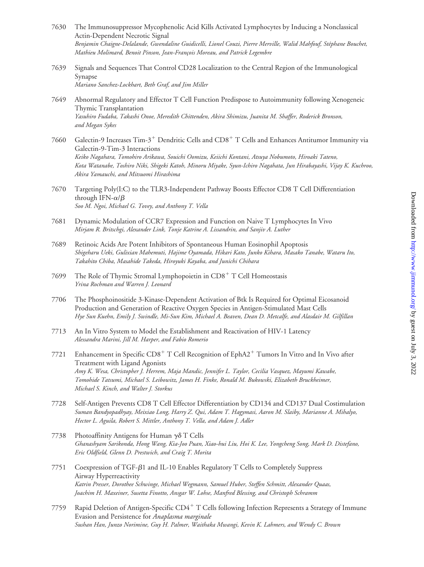- 7630 The Immunosuppressor Mycophenolic Acid Kills Activated Lymphocytes by Inducing a Nonclassical Actin-Dependent Necrotic Signal Benjamin Chaigne-Delalande, Gwendaline Guidicelli, Lionel Couzi, Pierre Merville, Walid Mahfouf, Stéphane Bouchet, *Mathieu Molimard, Benoit Pinson, Jean-François Moreau, and Patrick Legembre*
- 7639 Signals and Sequences That Control CD28 Localization to the Central Region of the Immunological Synapse *Mariano Sanchez-Lockhart, Beth Graf, and Jim Miller*
- 7649 Abnormal Regulatory and Effector T Cell Function Predispose to Autoimmunity following Xenogeneic Thymic Transplantation *Yasuhiro Fudaba, Takashi Onoe, Meredith Chittenden, Akira Shimizu, Juanita M. Shaffer, Roderick Bronson, and Megan Sykes*
- 7660 Galectin-9 Increases Tim-3<sup>+</sup> Dendritic Cells and CD8<sup>+</sup> T Cells and Enhances Antitumor Immunity via Galectin-9-Tim-3 Interactions *Keiko Nagahara, Tomohiro Arikawa, Souichi Oomizu, Keiichi Kontani, Atsuya Nobumoto, Hiroaki Tateno, Kota Watanabe, Toshiro Niki, Shigeki Katoh, Minoru Miyake, Syun-Ichiro Nagahata, Jun Hirabayashi, Vijay K. Kuchroo, Akira Yamauchi, and Mitsuomi Hirashima*
- 7670 Targeting Poly(I:C) to the TLR3-Independent Pathway Boosts Effector CD8 T Cell Differentiation through IFN- $\alpha/\beta$ *Soo M. Ngoi, Michael G. Tovey, and Anthony T. Vella*
- 7681 Dynamic Modulation of CCR7 Expression and Function on Naive T Lymphocytes In Vivo *Mirjam R. Britschgi, Alexander Link, Tonje Katrine A. Lissandrin, and Sanjiv A. Luther*
- 7689 Retinoic Acids Are Potent Inhibitors of Spontaneous Human Eosinophil Apoptosis *Shigeharu Ueki, Gulixian Mahemuti, Hajime Oyamada, Hikari Kato, Junko Kihara, Masako Tanabe, Wataru Ito, Takahito Chiba, Masahide Takeda, Hiroyuki Kayaba, and Junichi Chihara*
- 7699 The Role of Thymic Stromal Lymphopoietin in CD8<sup>+</sup> T Cell Homeostasis *Yrina Rochman and Warren J. Leonard*
- 7706 The Phosphoinositide 3-Kinase-Dependent Activation of Btk Is Required for Optimal Eicosanoid Production and Generation of Reactive Oxygen Species in Antigen-Stimulated Mast Cells *Hye Sun Kuehn, Emily J. Swindle, Mi-Sun Kim, Michael A. Beaven, Dean D. Metcalfe, and Alasdair M. Gilfillan*
- 7713 An In Vitro System to Model the Establishment and Reactivation of HIV-1 Latency *Alessandra Marini, Jill M. Harper, and Fabio Romerio*
- 7721 Enhancement in Specific  $CDS<sup>+</sup> T$  Cell Recognition of EphA2<sup>+</sup> Tumors In Vitro and In Vivo after Treatment with Ligand Agonists *Amy K. Wesa, Christopher J. Herrem, Maja Mandic, Jennifer L. Taylor, Cecilia Vasquez, Mayumi Kawabe, Tomohide Tatsumi, Michael S. Leibowitz, James H. Finke, Ronald M. Bukowski, Elizabeth Bruckheimer, Michael S. Kinch, and Walter J. Storkus*
- 7728 Self-Antigen Prevents CD8 T Cell Effector Differentiation by CD134 and CD137 Dual Costimulation *Suman Bandyopadhyay, Meixiao Long, Harry Z. Qui, Adam T. Hagymasi, Aaron M. Slaiby, Marianne A. Mihalyo, Hector L. Aguila, Robert S. Mittler, Anthony T. Vella, and Adam J. Adler*
- 7738 Photoaffinity Antigens for Human  $\gamma\delta$  T Cells *Ghanashyam Sarikonda, Hong Wang, Kia-Joo Puan, Xiao-hui Liu, Hoi K. Lee, Yongcheng Song, Mark D. Distefano, Eric Oldfield, Glenn D. Prestwich, and Craig T. Morita*
- 7751 Coexpression of TGF- $\beta$ 1 and IL-10 Enables Regulatory T Cells to Completely Suppress Airway Hyperreactivity *Katrin Presser, Dorothee Schwinge, Michael Wegmann, Samuel Huber, Steffen Schmitt, Alexander Quaas, Joachim H. Maxeiner, Susetta Finotto, Ansgar W. Lohse, Manfred Blessing, and Christoph Schramm*
- 7759 Rapid Deletion of Antigen-Specific CD4 T Cells following Infection Represents a Strategy of Immune Evasion and Persistence for *Anaplasma marginale Sushan Han, Junzo Norimine, Guy H. Palmer, Waithaka Mwangi, Kevin K. Lahmers, and Wendy C. Brown*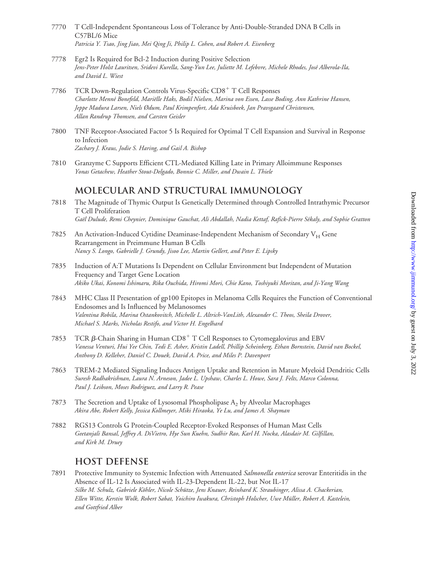- 7770 T Cell-Independent Spontaneous Loss of Tolerance by Anti-Double-Stranded DNA B Cells in C57BL/6 Mice *Patricia Y. Tsao, Jing Jiao, Mei Qing Ji, Philip L. Cohen, and Robert A. Eisenberg*
- 7778 Egr2 Is Required for Bcl-2 Induction during Positive Selection *Jens-Peter Holst Lauritsen, Sridevi Kurella, Sang-Yun Lee, Juliette M. Lefebvre, Michele Rhodes, Jose´ Alberola-Ila, and David L. Wiest*
- 7786 TCR Down-Regulation Controls Virus-Specific CD8<sup>+</sup> T Cell Responses *Charlotte Menne´ Bonefeld, Marie¨lle Haks, Bodil Nielsen, Marina von Essen, Lasse Boding, Ann Kathrine Hansen, Jeppe Madura Larsen, Niels Ødum, Paul Krimpenfort, Ada Kruisbeek, Jan Pravsgaard Christensen, Allan Randrup Thomsen, and Carsten Geisler*
- 7800 TNF Receptor-Associated Factor 5 Is Required for Optimal T Cell Expansion and Survival in Response to Infection *Zachary J. Kraus, Jodie S. Haring, and Gail A. Bishop*
- 7810 Granzyme C Supports Efficient CTL-Mediated Killing Late in Primary Alloimmune Responses *Yonas Getachew, Heather Stout-Delgado, Bonnie C. Miller, and Dwain L. Thiele*

#### **Molecular and Structural Immunology**

- 7818 The Magnitude of Thymic Output Is Genetically Determined through Controlled Intrathymic Precursor T Cell Proliferation *Gae¨l Dulude, Remi Cheynier, Dominique Gauchat, Ali Abdallah, Nadia Kettaf, Rafick-Pierre Se´kaly, and Sophie Gratton*
- 7825 An Activation-Induced Cytidine Deaminase-Independent Mechanism of Secondary  $V_H$  Gene Rearrangement in Preimmune Human B Cells *Nancy S. Longo, Gabrielle J. Grundy, Jisoo Lee, Martin Gellert, and Peter E. Lipsky*
- 7835 Induction of A:T Mutations Is Dependent on Cellular Environment but Independent of Mutation Frequency and Target Gene Location *Akiko Ukai, Konomi Ishimaru, Rika Ouchida, Hiromi Mori, Chie Kano, Toshiyuki Moritan, and Ji-Yang Wang*
- 7843 MHC Class II Presentation of gp100 Epitopes in Melanoma Cells Requires the Function of Conventional Endosomes and Is Influenced by Melanosomes *Valentina Robila, Marina Ostankovitch, Michelle L. Altrich-VanLith, Alexander C. Theos, Sheila Drover, Michael S. Marks, Nicholas Restifo, and Victor H. Engelhard*
- 7853 TCR  $\beta$ -Chain Sharing in Human CD8<sup>+</sup> T Cell Responses to Cytomegalovirus and EBV *Vanessa Venturi, Hui Yee Chin, Tedi E. Asher, Kristin Ladell, Phillip Scheinberg, Ethan Bornstein, David van Bockel, Anthony D. Kelleher, Daniel C. Douek, David A. Price, and Miles P. Davenport*
- 7863 TREM-2 Mediated Signaling Induces Antigen Uptake and Retention in Mature Myeloid Dendritic Cells *Suresh Radhakrishnan, Laura N. Arneson, Jadee L. Upshaw, Charles L. Howe, Sara J. Felts, Marco Colonna, Paul J. Leibson, Moses Rodriguez, and Larry R. Pease*
- 7873 The Secretion and Uptake of Lysosomal Phospholipase  $A_2$  by Alveolar Macrophages *Akira Abe, Robert Kelly, Jessica Kollmeyer, Miki Hiraoka, Ye Lu, and James A. Shayman*
- 7882 RGS13 Controls G Protein-Coupled Receptor-Evoked Responses of Human Mast Cells *Geetanjali Bansal, Jeffrey A. DiVietro, Hye Sun Kuehn, Sudhir Rao, Karl H. Nocka, Alasdair M. Gilfillan, and Kirk M. Druey*

#### **Host Defense**

7891 Protective Immunity to Systemic Infection with Attenuated *Salmonella enterica* serovar Enteritidis in the Absence of IL-12 Is Associated with IL-23-Dependent IL-22, but Not IL-17 Silke M. Schulz, Gabriele Köhler, Nicole Schütze, Jens Knauer, Reinhard K. Straubinger, Alissa A. Chackerian, *Ellen Witte, Kerstin Wolk, Robert Sabat, Yoichiro Iwakura, Christoph Holscher, Uwe Mu¨ller, Robert A. Kastelein, and Gottfried Alber*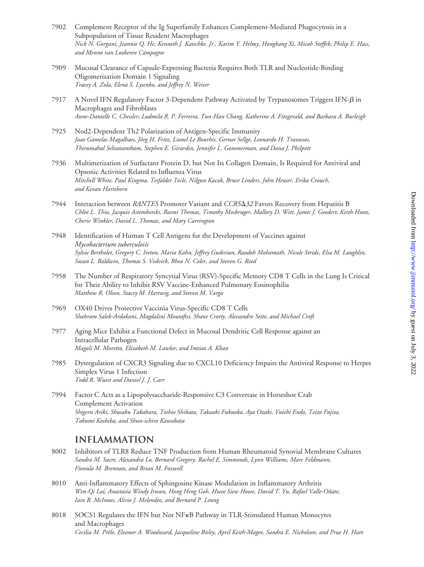- 7902 Complement Receptor of the Ig Superfamily Enhances Complement-Mediated Phagocytosis in a Subpopulation of Tissue Resident Macrophages *Nick N. Gorgani, Jeannie Q. He, Kenneth J. Katschke, Jr., Karim Y. Helmy, Hongkang Xi, Micah Steffek, Philip E. Hass, and Menno van Lookeren Campagne*
- 7909 Mucosal Clearance of Capsule-Expressing Bacteria Requires Both TLR and Nucleotide-Binding Oligomerization Domain 1 Signaling *Tracey A. Zola, Elena S. Lysenko, and Jeffrey N. Weiser*
- 7917 A Novel IFN Regulatory Factor 3-Dependent Pathway Activated by Trypanosomes Triggers IFN- $\beta$  in Macrophages and Fibroblasts *Anne-Danielle C. Chessler, Ludmila R. P. Ferreira, Tun-Han Chang, Katherine A. Fitzgerald, and Barbara A. Burleigh*
- 7925 Nod2-Dependent Th2 Polarization of Antigen-Specific Immunity Joao Gamelas Magalhaes, Jörg H. Fritz, Lionel Le Bourhis, Gernot Sellge, Leonardo H. Travassos, *Thirumahal Selvanantham, Stephen E. Girardin, Jennifer L. Gommerman, and Dana J. Philpott*
- 7936 Multimerization of Surfactant Protein D, but Not Its Collagen Domain, Is Required for Antiviral and Opsonic Activities Related to Influenza Virus *Mitchell White, Paul Kingma, Tesfaldet Tecle, Nilgun Kacak, Bruce Linders, John Heuser, Erika Crouch, and Kevan Hartshorn*
- 7944 Interaction between *RANTES* Promoter Variant and *CCR532* Favors Recovery from Hepatitis B *Chloe L. Thio, Jacquie Astemborski, Rasmi Thomas, Timothy Mosbruger, Mallory D. Witt, James J. Goedert, Keith Hoots, Cherie Winkler, David L. Thomas, and Mary Carrington*
- 7948 Identification of Human T Cell Antigens for the Development of Vaccines against *Mycobacterium tuberculosis Sylvie Bertholet, Gregory C. Ireton, Maria Kahn, Jeffrey Guderian, Raodoh Mohamath, Nicole Stride, Elsa M. Laughlin, Susan L. Baldwin, Thomas S. Vedvick, Rhea N. Coler, and Steven G. Reed*
- 7958 The Number of Respiratory Syncytial Virus (RSV)-Specific Memory CD8 T Cells in the Lung Is Critical for Their Ability to Inhibit RSV Vaccine-Enhanced Pulmonary Eosinophilia *Matthew R. Olson, Stacey M. Hartwig, and Steven M. Varga*
- 7969 OX40 Drives Protective Vaccinia Virus-Specific CD8 T Cells *Shahram Salek-Ardakani, Magdalini Moutaftsi, Shane Crotty, Alessandro Sette, and Michael Croft*
- 7977 Aging Mice Exhibit a Functional Defect in Mucosal Dendritic Cell Response against an Intracellular Pathogen *Magali M. Moretto, Elizabeth M. Lawlor, and Imtiaz A. Khan*
- 7985 Dysregulation of CXCR3 Signaling due to CXCL10 Deficiency Impairs the Antiviral Response to Herpes Simplex Virus 1 Infection *Todd R. Wuest and Daniel J. J. Carr*
- 7994 Factor C Acts as a Lipopolysaccharide-Responsive C3 Convertase in Horseshoe Crab Complement Activation *Shigeru Ariki, Shusaku Takahara, Toshio Shibata, Takaaki Fukuoka, Aya Ozaki, Yuichi Endo, Teizo Fujita, Takumi Koshiba, and Shun-ichiro Kawabata*

#### **Inflammation**

- 8002 Inhibitors of TLR8 Reduce TNF Production from Human Rheumatoid Synovial Membrane Cultures *Sandra M. Sacre, Alexandra Lo, Bernard Gregory, Rachel E. Simmonds, Lynn Williams, Marc Feldmann, Fionula M. Brennan, and Brian M. Foxwell*
- 8010 Anti-Inflammatory Effects of Sphingosine Kinase Modulation in Inflammatory Arthritis *Wen-Qi Lai, Anastasia Windy Irwan, Hong Heng Goh, Hwee Siew Howe, David T. Yu, Rafael Valle-On˜ate, Iain B. McInnes, Alirio J. Melendez, and Bernard P. Leung*
- 8018 SOCS1 Regulates the IFN but Not NFKB Pathway in TLR-Stimulated Human Monocytes and Macrophages *Cecilia M. Preˆle, Eleanor A. Woodward, Jacqueline Bisley, April Keith-Magee, Sandra E. Nicholson, and Prue H. Hart*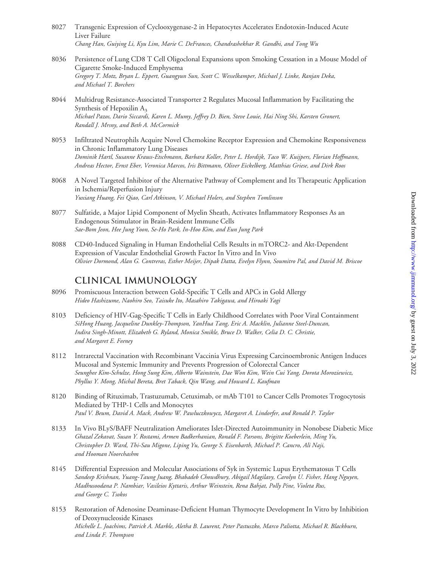- 8027 Transgenic Expression of Cyclooxygenase-2 in Hepatocytes Accelerates Endotoxin-Induced Acute Liver Failure *Chang Han, Guiying Li, Kyu Lim, Marie C. DeFrances, Chandrashekhar R. Gandhi, and Tong Wu*
- 8036 Persistence of Lung CD8 T Cell Oligoclonal Expansions upon Smoking Cessation in a Mouse Model of Cigarette Smoke-Induced Emphysema *Gregory T. Motz, Bryan L. Eppert, Guangyun Sun, Scott C. Wesselkamper, Michael J. Linke, Ranjan Deka, and Michael T. Borchers*
- 8044 Multidrug Resistance-Associated Transporter 2 Regulates Mucosal Inflammation by Facilitating the Synthesis of Hepoxilin  $A_3$ *Michael Pazos, Dario Siccardi, Karen L. Mumy, Jeffrey D. Bien, Steve Louie, Hai Ning Shi, Karsten Gronert, Randall J. Mrsny, and Beth A. McCormick*
- 8053 Infiltrated Neutrophils Acquire Novel Chemokine Receptor Expression and Chemokine Responsiveness in Chronic Inflammatory Lung Diseases *Dominik Hartl, Susanne Krauss-Etschmann, Barbara Koller, Peter L. Hordijk, Taco W. Kuijpers, Florian Hoffmann, Andreas Hector, Ernst Eber, Veronica Marcos, Iris Bittmann, Oliver Eickelberg, Matthias Griese, and Dirk Roos*
- 8068 A Novel Targeted Inhibitor of the Alternative Pathway of Complement and Its Therapeutic Application in Ischemia/Reperfusion Injury *Yuxiang Huang, Fei Qiao, Carl Atkinson, V. Michael Holers, and Stephen Tomlinson*
- 8077 Sulfatide, a Major Lipid Component of Myelin Sheath, Activates Inflammatory Responses As an Endogenous Stimulator in Brain-Resident Immune Cells *Sae-Bom Jeon, Hee Jung Yoon, Se-Ho Park, In-Hoo Kim, and Eun Jung Park*
- 8088 CD40-Induced Signaling in Human Endothelial Cells Results in mTORC2- and Akt-Dependent Expression of Vascular Endothelial Growth Factor In Vitro and In Vivo *Olivier Dormond, Alan G. Contreras, Esther Meijer, Dipak Datta, Evelyn Flynn, Soumitro Pal, and David M. Briscoe*

#### **Clinical Immunology**

- 8096 Promiscuous Interaction between Gold-Specific T Cells and APCs in Gold Allergy *Hideo Hashizume, Naohiro Seo, Taisuke Ito, Masahiro Takigawa, and Hiroaki Yagi*
- 8103 Deficiency of HIV-Gag-Specific T Cells in Early Childhood Correlates with Poor Viral Containment *SiHong Huang, Jacqueline Dunkley-Thompson, YanHua Tang, Eric A. Macklin, Julianne Steel-Duncan, Indira Singh-Minott, Elizabeth G. Ryland, Monica Smikle, Bruce D. Walker, Celia D. C. Christie, and Margaret E. Feeney*
- 8112 Intrarectal Vaccination with Recombinant Vaccinia Virus Expressing Carcinoembronic Antigen Induces Mucosal and Systemic Immunity and Prevents Progression of Colorectal Cancer *Seunghee Kim-Schulze, Hong Sung Kim, Alberto Wainstein, Dae Won Kim, Wein Cui Yang, Dorota Moroziewicz, Phyllus Y. Mong, Michal Bereta, Bret Taback, Qin Wang, and Howard L. Kaufman*
- 8120 Binding of Rituximab, Trastuzumab, Cetuximab, or mAb T101 to Cancer Cells Promotes Trogocytosis Mediated by THP-1 Cells and Monocytes *Paul V. Beum, David A. Mack, Andrew W. Pawluczkowycz, Margaret A. Lindorfer, and Ronald P. Taylor*
- 8133 In Vivo BLyS/BAFF Neutralization Ameliorates Islet-Directed Autoimmunity in Nonobese Diabetic Mice *Ghazal Zekavat, Susan Y. Rostami, Armen Badkerhanian, Ronald F. Parsons, Brigitte Koeberlein, Ming Yu, Christopher D. Ward, Thi-Sau Migone, Liping Yu, George S. Eisenbarth, Michael P. Cancro, Ali Naji, and Hooman Noorchashm*
- 8145 Differential Expression and Molecular Associations of Syk in Systemic Lupus Erythematosus T Cells *Sandeep Krishnan, Yuang-Taung Juang, Bhabadeb Chowdhury, Abigail Magilavy, Carolyn U. Fisher, Hang Nguyen, Madhusoodana P. Nambiar, Vasileios Kyttaris, Arthur Weinstein, Rena Bahjat, Polly Pine, Violeta Rus, and George C. Tsokos*
- 8153 Restoration of Adenosine Deaminase-Deficient Human Thymocyte Development In Vitro by Inhibition of Deoxynucleoside Kinases *Michelle L. Joachims, Patrick A. Marble, Aletha B. Laurent, Peter Pastuszko, Marco Paliotta, Michael R. Blackburn, and Linda F. Thompson*